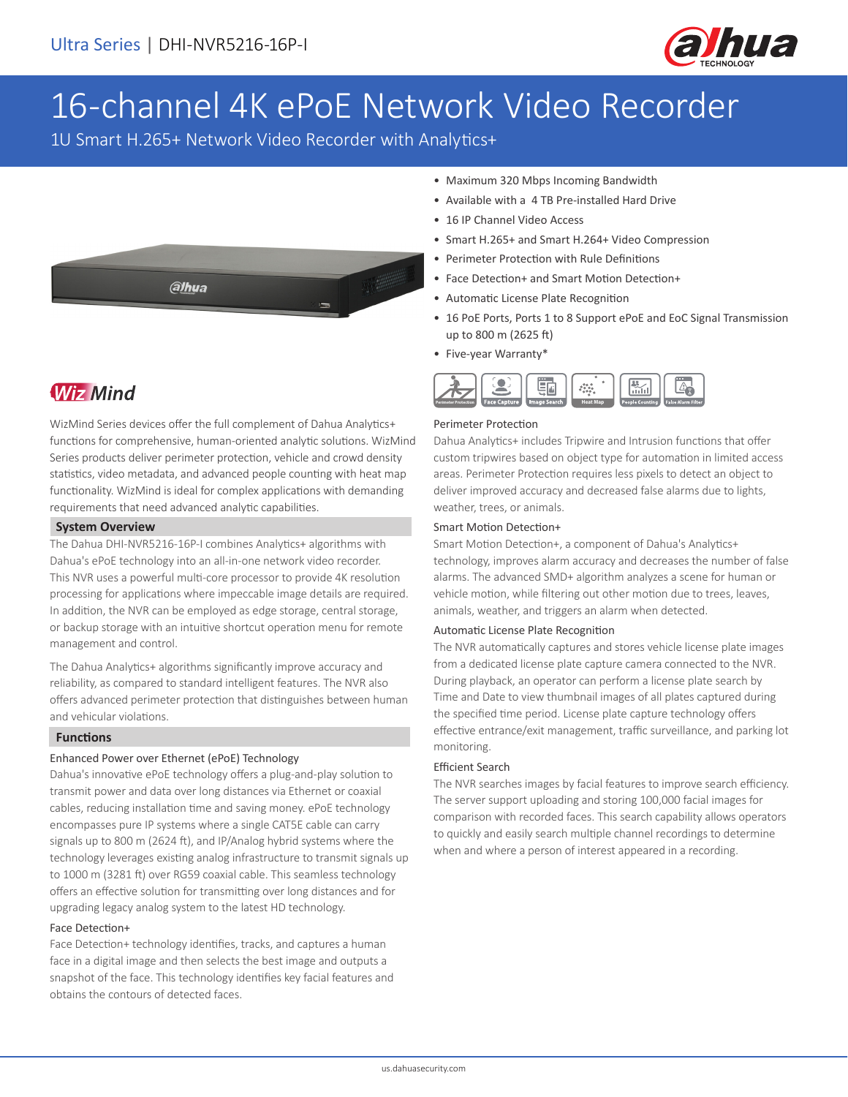

# 16-channel 4K ePoE Network Video Recorder

1U Smart H.265+ Network Video Recorder with Analytics+



# **Wiz Mind**

WizMind Series devices offer the full complement of Dahua Analytics+ functions for comprehensive, human-oriented analytic solutions. WizMind Series products deliver perimeter protection, vehicle and crowd density statistics, video metadata, and advanced people counting with heat map functionality. WizMind is ideal for complex applications with demanding requirements that need advanced analytic capabilities.

## **System Overview**

The Dahua DHI-NVR5216-16P-I combines Analytics+ algorithms with Dahua's ePoE technology into an all-in-one network video recorder. This NVR uses a powerful multi-core processor to provide 4K resolution processing for applications where impeccable image details are required. In addition, the NVR can be employed as edge storage, central storage, or backup storage with an intuitive shortcut operation menu for remote management and control.

The Dahua Analytics+ algorithms significantly improve accuracy and reliability, as compared to standard intelligent features. The NVR also offers advanced perimeter protection that distinguishes between human and vehicular violations.

## **Functions**

## Enhanced Power over Ethernet (ePoE) Technology

Dahua's innovative ePoE technology offers a plug-and-play solution to transmit power and data over long distances via Ethernet or coaxial cables, reducing installation time and saving money. ePoE technology encompasses pure IP systems where a single CAT5E cable can carry signals up to 800 m (2624 ft), and IP/Analog hybrid systems where the technology leverages existing analog infrastructure to transmit signals up to 1000 m (3281 ft) over RG59 coaxial cable. This seamless technology offers an effective solution for transmitting over long distances and for upgrading legacy analog system to the latest HD technology.

## Face Detection+

Face Detection+ technology identifies, tracks, and captures a human face in a digital image and then selects the best image and outputs a snapshot of the face. This technology identifies key facial features and obtains the contours of detected faces.

- Maximum 320 Mbps Incoming Bandwidth
- Available with a 4 TB Pre-installed Hard Drive
- 16 IP Channel Video Access
- Smart H.265+ and Smart H.264+ Video Compression
- Perimeter Protection with Rule Definitions
- Face Detection+ and Smart Motion Detection+
- Automatic License Plate Recognition
- 16 PoE Ports, Ports 1 to 8 Support ePoE and EoC Signal Transmission up to 800 m (2625 ft)
- Five-year Warranty\*



## Perimeter Protection

Dahua Analytics+ includes Tripwire and Intrusion functions that offer custom tripwires based on object type for automation in limited access areas. Perimeter Protection requires less pixels to detect an object to deliver improved accuracy and decreased false alarms due to lights, weather, trees, or animals.

## Smart Motion Detection+

Smart Motion Detection+, a component of Dahua's Analytics+ technology, improves alarm accuracy and decreases the number of false alarms. The advanced SMD+ algorithm analyzes a scene for human or vehicle motion, while filtering out other motion due to trees, leaves, animals, weather, and triggers an alarm when detected.

## Automatic License Plate Recognition

The NVR automatically captures and stores vehicle license plate images from a dedicated license plate capture camera connected to the NVR. During playback, an operator can perform a license plate search by Time and Date to view thumbnail images of all plates captured during the specified time period. License plate capture technology offers effective entrance/exit management, traffic surveillance, and parking lot monitoring.

## Efficient Search

The NVR searches images by facial features to improve search efficiency. The server support uploading and storing 100,000 facial images for comparison with recorded faces. This search capability allows operators to quickly and easily search multiple channel recordings to determine when and where a person of interest appeared in a recording.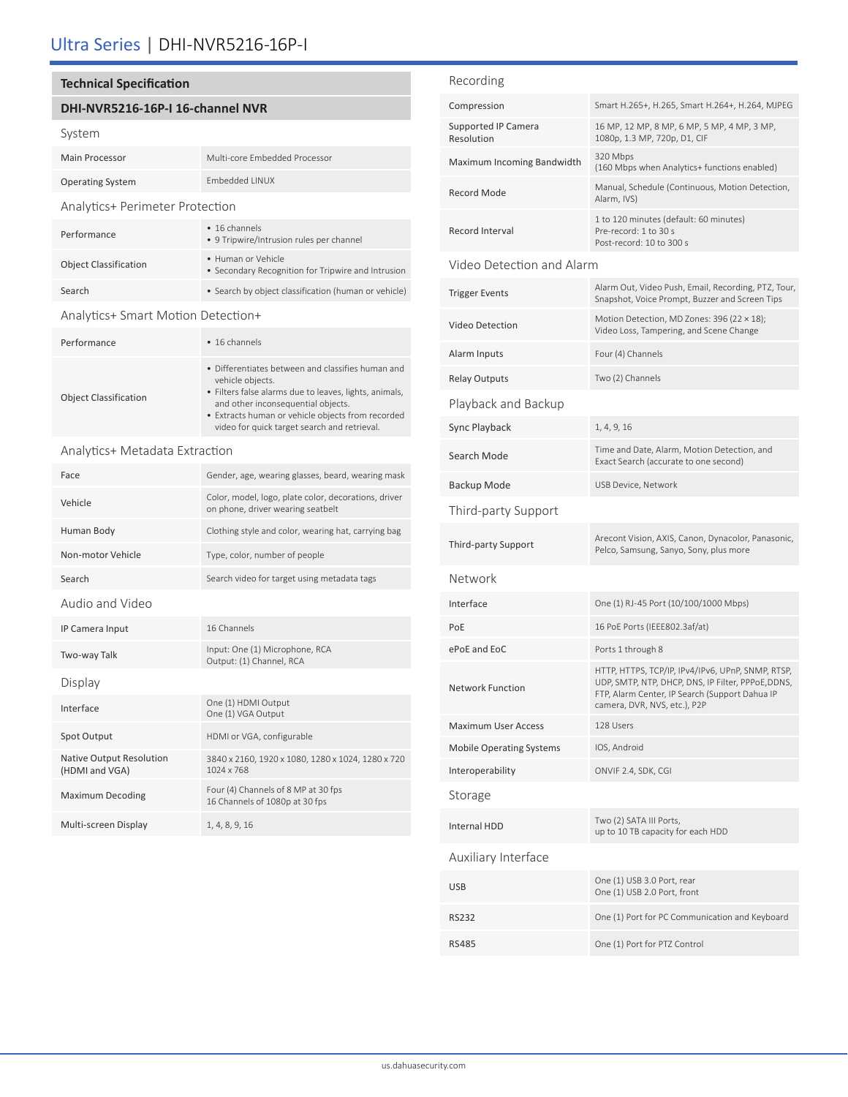# Ultra Series | DHI-NVR5216-16P-I

## **Technical Specification**

## **DHI-NVR5216-16P-I 16-channel NVR**

## System

| <b>Main Processor</b>                  | Multi-core Embedded Processor                                                                                                                                                                        |
|----------------------------------------|------------------------------------------------------------------------------------------------------------------------------------------------------------------------------------------------------|
| <b>Operating System</b>                | Embedded LINUX                                                                                                                                                                                       |
| <b>Analytics+ Perimeter Protection</b> |                                                                                                                                                                                                      |
| Performance                            | • 16 channels<br>• 9 Tripwire/Intrusion rules per channel                                                                                                                                            |
| <b>Object Classification</b>           | • Human or Vehicle<br>• Secondary Recognition for Tripwire and Intrusion                                                                                                                             |
| Search                                 | • Search by object classification (human or vehicle)                                                                                                                                                 |
| Analytics+ Smart Motion Detection+     |                                                                                                                                                                                                      |
| Performance                            | • 16 channels                                                                                                                                                                                        |
| <b>Object Classification</b>           | • Differentiates between and classifies human and<br>vehicle objects.<br>• Filters false alarms due to leaves, lights, animals,<br>المتقول والمراجي المائية ومحورة ومحاوية والمتحارث والقرور المرورة |

and other inconsequential objects. • Extracts human or vehicle objects from recorded video for quick target search and retrieval.

Analytics+ Metadata Extraction

| Face                                       | Gender, age, wearing glasses, beard, wearing mask                                         |
|--------------------------------------------|-------------------------------------------------------------------------------------------|
| Vehicle                                    | Color, model, logo, plate color, decorations, driver<br>on phone, driver wearing seatbelt |
| Human Body                                 | Clothing style and color, wearing hat, carrying bag                                       |
| Non-motor Vehicle                          | Type, color, number of people                                                             |
| Search                                     | Search video for target using metadata tags                                               |
| Audio and Video                            |                                                                                           |
| IP Camera Input                            | 16 Channels                                                                               |
| Two-way Talk                               | Input: One (1) Microphone, RCA<br>Output: (1) Channel, RCA                                |
| Display                                    |                                                                                           |
| Interface                                  | One (1) HDMI Output<br>One (1) VGA Output                                                 |
| Spot Output                                | HDMI or VGA, configurable                                                                 |
| Native Output Resolution<br>(HDMI and VGA) | 3840 x 2160, 1920 x 1080, 1280 x 1024, 1280 x 720<br>1024 x 768                           |
| <b>Maximum Decoding</b>                    | Four (4) Channels of 8 MP at 30 fps<br>16 Channels of 1080p at 30 fps                     |
| Multi-screen Display                       | 1, 4, 8, 9, 16                                                                            |

| Recording                         |                                                                                                                                                                                           |
|-----------------------------------|-------------------------------------------------------------------------------------------------------------------------------------------------------------------------------------------|
| Compression                       | Smart H.265+, H.265, Smart H.264+, H.264, MJPEG                                                                                                                                           |
| Supported IP Camera<br>Resolution | 16 MP, 12 MP, 8 MP, 6 MP, 5 MP, 4 MP, 3 MP,<br>1080p, 1.3 MP, 720p, D1, CIF                                                                                                               |
| Maximum Incoming Bandwidth        | 320 Mbps<br>(160 Mbps when Analytics+ functions enabled)                                                                                                                                  |
| Record Mode                       | Manual, Schedule (Continuous, Motion Detection,<br>Alarm, IVS)                                                                                                                            |
| Record Interval                   | 1 to 120 minutes (default: 60 minutes)<br>Pre-record: 1 to 30 s<br>Post-record: 10 to 300 s                                                                                               |
| Video Detection and Alarm         |                                                                                                                                                                                           |
| <b>Trigger Events</b>             | Alarm Out, Video Push, Email, Recording, PTZ, Tour,<br>Snapshot, Voice Prompt, Buzzer and Screen Tips                                                                                     |
| Video Detection                   | Motion Detection, MD Zones: 396 (22 $\times$ 18);<br>Video Loss, Tampering, and Scene Change                                                                                              |
| Alarm Inputs                      | Four (4) Channels                                                                                                                                                                         |
| <b>Relay Outputs</b>              | Two (2) Channels                                                                                                                                                                          |
| Playback and Backup               |                                                                                                                                                                                           |
| Sync Playback                     | 1, 4, 9, 16                                                                                                                                                                               |
| Search Mode                       | Time and Date, Alarm, Motion Detection, and<br>Exact Search (accurate to one second)                                                                                                      |
| Backup Mode                       | USB Device, Network                                                                                                                                                                       |
| Third-party Support               |                                                                                                                                                                                           |
| Third-party Support               | Arecont Vision, AXIS, Canon, Dynacolor, Panasonic,<br>Pelco, Samsung, Sanyo, Sony, plus more                                                                                              |
| Network                           |                                                                                                                                                                                           |
| Interface                         | One (1) RJ-45 Port (10/100/1000 Mbps)                                                                                                                                                     |
| PoE                               | 16 PoE Ports (IEEE802.3af/at)                                                                                                                                                             |
| ePoE and EoC                      | Ports 1 through 8                                                                                                                                                                         |
| <b>Network Function</b>           | HTTP, HTTPS, TCP/IP, IPv4/IPv6, UPnP, SNMP, RTSP,<br>UDP, SMTP, NTP, DHCP, DNS, IP Filter, PPPoE, DDNS,<br>FTP, Alarm Center, IP Search (Support Dahua IP<br>camera, DVR, NVS, etc.), P2P |
| <b>Maximum User Access</b>        | 128 Users                                                                                                                                                                                 |
| <b>Mobile Operating Systems</b>   | IOS, Android                                                                                                                                                                              |
| Interoperability                  | ONVIF 2.4, SDK, CGI                                                                                                                                                                       |
| Storage                           |                                                                                                                                                                                           |
| <b>Internal HDD</b>               | Two (2) SATA III Ports,<br>up to 10 TB capacity for each HDD                                                                                                                              |
| Auxiliary Interface               |                                                                                                                                                                                           |
| <b>USB</b>                        | One (1) USB 3.0 Port, rear<br>One (1) USB 2.0 Port, front                                                                                                                                 |
| RS232                             | One (1) Port for PC Communication and Keyboard                                                                                                                                            |
| <b>RS485</b>                      | One (1) Port for PTZ Control                                                                                                                                                              |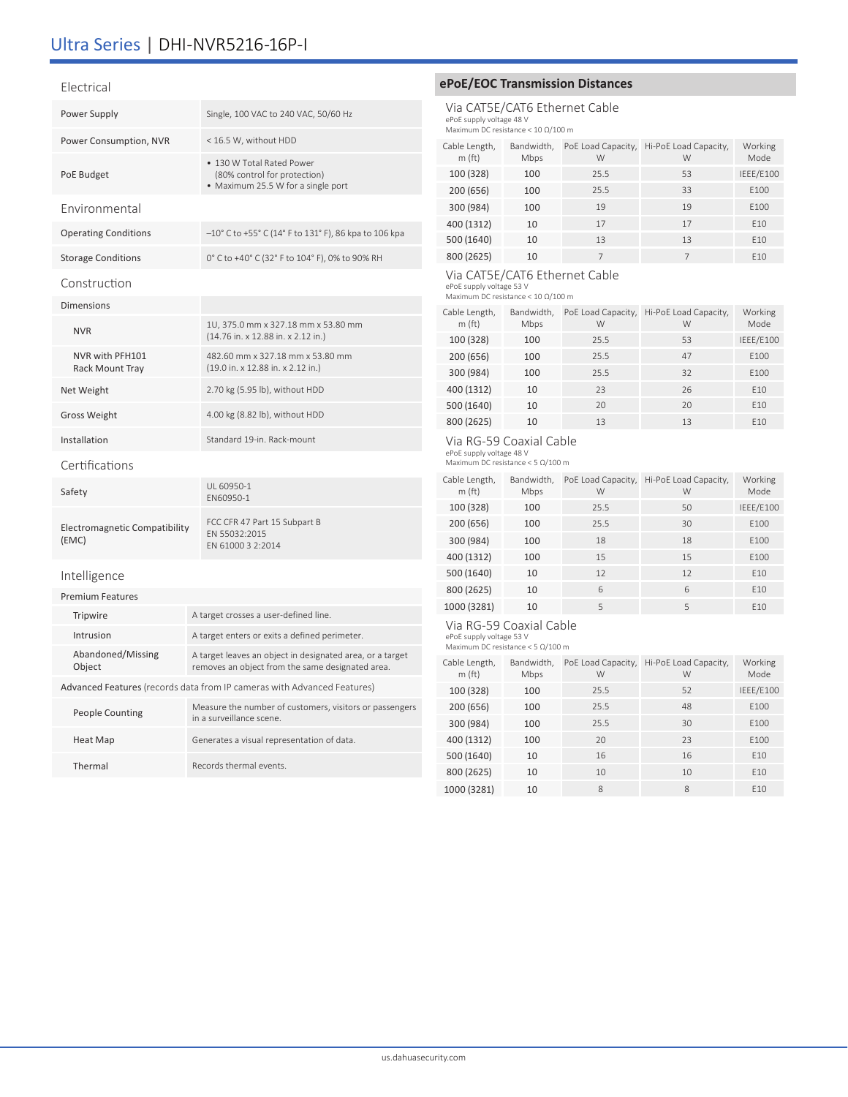# Ultra Series | DHI-NVR5216-16P-I

#### Electrical

| Power Supply                                  | Single, 100 VAC to 240 VAC, 50/60 Hz                                                                          |  |  |
|-----------------------------------------------|---------------------------------------------------------------------------------------------------------------|--|--|
| Power Consumption, NVR                        | < 16.5 W, without HDD                                                                                         |  |  |
| PoE Budget                                    | • 130 W Total Rated Power<br>(80% control for protection)<br>• Maximum 25.5 W for a single port               |  |  |
| Environmental                                 |                                                                                                               |  |  |
| <b>Operating Conditions</b>                   | -10° C to +55° C (14° F to 131° F), 86 kpa to 106 kpa                                                         |  |  |
| <b>Storage Conditions</b>                     | 0° C to +40° C (32° F to 104° F), 0% to 90% RH                                                                |  |  |
| Construction                                  |                                                                                                               |  |  |
| <b>Dimensions</b>                             |                                                                                                               |  |  |
| <b>NVR</b>                                    | 1U, 375.0 mm x 327.18 mm x 53.80 mm<br>(14.76 in. x 12.88 in. x 2.12 in.)                                     |  |  |
| NVR with PFH101<br>Rack Mount Tray            | 482.60 mm x 327.18 mm x 53.80 mm<br>(19.0 in. x 12.88 in. x 2.12 in.)                                         |  |  |
| Net Weight                                    | 2.70 kg (5.95 lb), without HDD                                                                                |  |  |
| <b>Gross Weight</b>                           | 4.00 kg (8.82 lb), without HDD                                                                                |  |  |
| Installation                                  | Standard 19-in, Rack-mount                                                                                    |  |  |
| Certifications                                |                                                                                                               |  |  |
| Safety                                        | UL 60950-1<br>EN60950-1                                                                                       |  |  |
| <b>Electromagnetic Compatibility</b><br>(EMC) | FCC CFR 47 Part 15 Subpart B<br>EN 55032:2015<br>FN 61000 3 2:2014                                            |  |  |
| Intelligence                                  |                                                                                                               |  |  |
| <b>Premium Features</b>                       |                                                                                                               |  |  |
| Tripwire                                      | A target crosses a user-defined line.                                                                         |  |  |
| Intrusion                                     | A target enters or exits a defined perimeter.                                                                 |  |  |
| Abandoned/Missing<br>Object                   | A target leaves an object in designated area, or a target<br>removes an object from the same designated area. |  |  |

Advanced Features (records data from IP cameras with Advanced Features)

| People Counting | Measure the number of customers, visitors or passengers<br>in a surveillance scene. |
|-----------------|-------------------------------------------------------------------------------------|
| Heat Map        | Generates a visual representation of data.                                          |
| Thermal         | Records thermal events                                                              |

## **ePoE/EOC Transmission Distances**

Via CAT5E/CAT6 Ethernet Cable ePoE supply voltage 48 V Maximum DC resistance < 10 Ω/100 m

| Cable Length,<br>m(f <sub>t</sub> ) | Bandwidth,<br>Mbps | PoE Load Capacity,<br>W | Hi-PoE Load Capacity,<br>W | Working<br>Mode |
|-------------------------------------|--------------------|-------------------------|----------------------------|-----------------|
| 100 (328)                           | 100                | 25.5                    | 53                         | IEEE/E100       |
| 200 (656)                           | 100                | 25.5                    | 33                         | E100            |
| 300 (984)                           | 100                | 19                      | 19                         | E100            |
| 400 (1312)                          | 10                 | 17                      | 17                         | E10             |
| 500 (1640)                          | 10                 | 13                      | 13                         | E10             |
| 800 (2625)                          | 10                 |                         | 7                          | F <sub>10</sub> |

## Via CAT5E/CAT6 Ethernet Cable

ePoE supply voltage 53 V Maximum DC resistance < 10 Ω/100 m

| Cable Length,<br>m(f <sub>t</sub> ) | Bandwidth,<br>Mbps | PoE Load Capacity,<br>W | Hi-PoE Load Capacity,<br>W | Working<br>Mode |
|-------------------------------------|--------------------|-------------------------|----------------------------|-----------------|
| 100 (328)                           | 100                | 25.5                    | 53                         | IEEE/E100       |
| 200 (656)                           | 100                | 25.5                    | 47                         | E100            |
| 300 (984)                           | 100                | 25.5                    | 32                         | E100            |
| 400 (1312)                          | 10                 | 23                      | 26                         | E10             |
| 500 (1640)                          | 10                 | 20                      | 20                         | E10             |
| 800 (2625)                          | 10                 | 13                      | 13                         | E10             |

#### Via RG-59 Coaxial Cable

ePoE supply voltage 48 V Maximum DC resistance < 5 Ω/100 m

| Maximum DC resistance $\leq$ 5 MJ/100 m |  |  |  |  |
|-----------------------------------------|--|--|--|--|
|                                         |  |  |  |  |

| Cable Length,<br>m(f <sub>t</sub> ) | Bandwidth,<br>Mbps | PoE Load Capacity,<br>W | Hi-PoE Load Capacity,<br>W | Working<br>Mode |
|-------------------------------------|--------------------|-------------------------|----------------------------|-----------------|
| 100 (328)                           | 100                | 25.5                    | 50                         | IEEE/E100       |
| 200 (656)                           | 100                | 25.5                    | 30                         | E100            |
| 300 (984)                           | 100                | 18                      | 18                         | E100            |
| 400 (1312)                          | 100                | 15                      | 15                         | E100            |
| 500 (1640)                          | 10                 | 12                      | 12                         | E10             |
| 800 (2625)                          | 10                 | 6                       | 6                          | E10             |
| 1000 (3281)                         | 10                 | 5                       | 5                          | E10             |

## Via RG-59 Coaxial Cable

ePoE supply voltage 53 V Maximum DC resistance < 5 Ω/100 m

| Cable Length,<br>m(f <sub>t</sub> ) | Bandwidth,<br>Mbps | PoE Load Capacity,<br>W | Hi-PoE Load Capacity,<br>W | Working<br>Mode |
|-------------------------------------|--------------------|-------------------------|----------------------------|-----------------|
| 100 (328)                           | 100                | 25.5                    | 52                         | IEEE/E100       |
| 200 (656)                           | 100                | 25.5                    | 48                         | E100            |
| 300 (984)                           | 100                | 25.5                    | 30                         | F100            |
| 400 (1312)                          | 100                | 20                      | 23                         | E100            |
| 500 (1640)                          | 10                 | 16                      | 16                         | E10             |
| 800 (2625)                          | 10                 | 10                      | 10                         | E10             |
| 1000 (3281)                         | 10                 | 8                       | 8                          | F <sub>10</sub> |